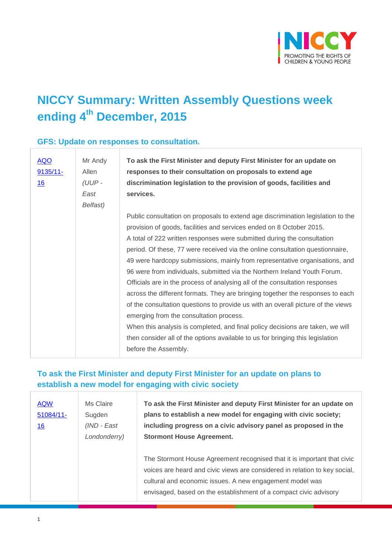

## **NICCY Summary: Written Assembly Questions week ending 4th December, 2015**

#### **GFS: Update on responses to consultation.**

| $\overline{AQO}$<br>$9135/11$ -<br><u>16</u> | Mr Andy<br>Allen<br>$(UUP -$<br>East | To ask the First Minister and deputy First Minister for an update on<br>responses to their consultation on proposals to extend age<br>discrimination legislation to the provision of goods, facilities and<br>services. |
|----------------------------------------------|--------------------------------------|-------------------------------------------------------------------------------------------------------------------------------------------------------------------------------------------------------------------------|
|                                              | Belfast)                             |                                                                                                                                                                                                                         |
|                                              |                                      | Public consultation on proposals to extend age discrimination legislation to the<br>provision of goods, facilities and services ended on 8 October 2015.                                                                |
|                                              |                                      | A total of 222 written responses were submitted during the consultation                                                                                                                                                 |
|                                              |                                      | period. Of these, 77 were received via the online consultation questionnaire,                                                                                                                                           |
|                                              |                                      | 49 were hardcopy submissions, mainly from representative organisations, and                                                                                                                                             |
|                                              |                                      | 96 were from individuals, submitted via the Northern Ireland Youth Forum.                                                                                                                                               |
|                                              |                                      | Officials are in the process of analysing all of the consultation responses                                                                                                                                             |
|                                              |                                      | across the different formats. They are bringing together the responses to each                                                                                                                                          |
|                                              |                                      | of the consultation questions to provide us with an overall picture of the views                                                                                                                                        |
|                                              |                                      | emerging from the consultation process.                                                                                                                                                                                 |
|                                              |                                      | When this analysis is completed, and final policy decisions are taken, we will                                                                                                                                          |
|                                              |                                      | then consider all of the options available to us for bringing this legislation                                                                                                                                          |
|                                              |                                      | before the Assembly.                                                                                                                                                                                                    |

#### **To ask the First Minister and deputy First Minister for an update on plans to establish a new model for engaging with civic society**

| <b>AQW</b><br>51084/11-<br><u>16</u> | Ms Claire<br>Sugden<br>(IND - East<br>Londonderry) | To ask the First Minister and deputy First Minister for an update on<br>plans to establish a new model for engaging with civic society;<br>including progress on a civic advisory panel as proposed in the<br><b>Stormont House Agreement.</b>                                         |
|--------------------------------------|----------------------------------------------------|----------------------------------------------------------------------------------------------------------------------------------------------------------------------------------------------------------------------------------------------------------------------------------------|
|                                      |                                                    | The Stormont House Agreement recognised that it is important that civic<br>voices are heard and civic views are considered in relation to key social,<br>cultural and economic issues. A new engagement model was<br>envisaged, based on the establishment of a compact civic advisory |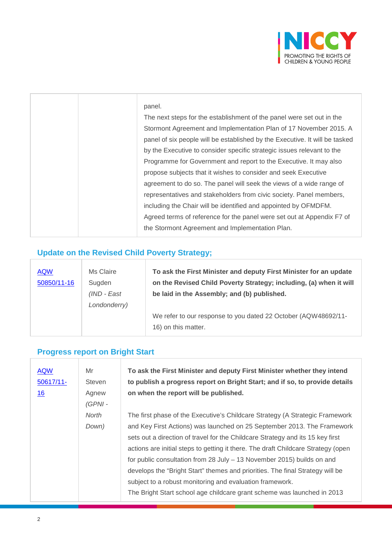

| .<br>×<br>M. | ۰. |
|--------------|----|

The next steps for the establishment of the panel were set out in the Stormont Agreement and Implementation Plan of 17 November 2015. A panel of six people will be established by the Executive. It will be tasked by the Executive to consider specific strategic issues relevant to the Programme for Government and report to the Executive. It may also propose subjects that it wishes to consider and seek Executive agreement to do so. The panel will seek the views of a wide range of representatives and stakeholders from civic society. Panel members, including the Chair will be identified and appointed by OFMDFM. Agreed terms of reference for the panel were set out at Appendix F7 of the Stormont Agreement and Implementation Plan.

#### **Update on the Revised Child Poverty Strategy;**

| <b>AQW</b><br>50850/11-16 | Ms Claire<br>Sugden<br>$(IND - East)$<br>Londonderry) | To ask the First Minister and deputy First Minister for an update<br>on the Revised Child Poverty Strategy; including, (a) when it will<br>be laid in the Assembly; and (b) published. |
|---------------------------|-------------------------------------------------------|----------------------------------------------------------------------------------------------------------------------------------------------------------------------------------------|
|                           |                                                       | We refer to our response to you dated 22 October (AQW48692/11-<br>16) on this matter.                                                                                                  |

#### **Progress report on Bright Start**

| <b>AQW</b><br>$50617/11$ -<br>16 | Mr<br>Steven<br>Agnew<br>$(GPNI -$ | To ask the First Minister and deputy First Minister whether they intend<br>to publish a progress report on Bright Start; and if so, to provide details<br>on when the report will be published. |
|----------------------------------|------------------------------------|-------------------------------------------------------------------------------------------------------------------------------------------------------------------------------------------------|
|                                  | North                              | The first phase of the Executive's Childcare Strategy (A Strategic Framework                                                                                                                    |
|                                  | Down)                              | and Key First Actions) was launched on 25 September 2013. The Framework                                                                                                                         |
|                                  |                                    | sets out a direction of travel for the Childcare Strategy and its 15 key first                                                                                                                  |
|                                  |                                    | actions are initial steps to getting it there. The draft Childcare Strategy (open                                                                                                               |
|                                  |                                    | for public consultation from 28 July – 13 November 2015) builds on and                                                                                                                          |
|                                  |                                    | develops the "Bright Start" themes and priorities. The final Strategy will be                                                                                                                   |
|                                  |                                    | subject to a robust monitoring and evaluation framework.                                                                                                                                        |
|                                  |                                    | The Bright Start school age childcare grant scheme was launched in 2013                                                                                                                         |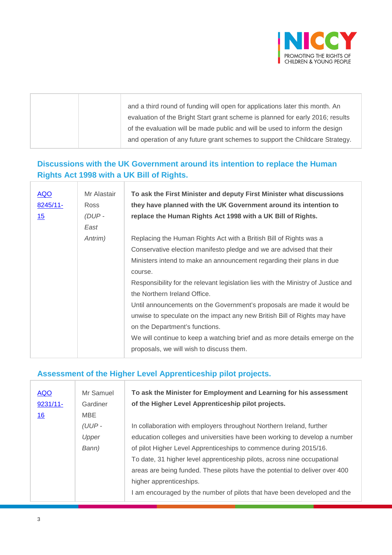

|  | and a third round of funding will open for applications later this month. An   |
|--|--------------------------------------------------------------------------------|
|  | evaluation of the Bright Start grant scheme is planned for early 2016; results |
|  | of the evaluation will be made public and will be used to inform the design    |
|  | and operation of any future grant schemes to support the Childcare Strategy.   |
|  |                                                                                |

#### **Discussions with the UK Government around its intention to replace the Human Rights Act 1998 with a UK Bill of Rights.**

| AQO<br>8245/11-<br>15 | Mr Alastair<br>Ross<br>$(DUP -$<br>East | To ask the First Minister and deputy First Minister what discussions<br>they have planned with the UK Government around its intention to<br>replace the Human Rights Act 1998 with a UK Bill of Rights. |
|-----------------------|-----------------------------------------|---------------------------------------------------------------------------------------------------------------------------------------------------------------------------------------------------------|
|                       | Antrim)                                 | Replacing the Human Rights Act with a British Bill of Rights was a                                                                                                                                      |
|                       |                                         | Conservative election manifesto pledge and we are advised that their                                                                                                                                    |
|                       |                                         | Ministers intend to make an announcement regarding their plans in due                                                                                                                                   |
|                       |                                         | course.                                                                                                                                                                                                 |
|                       |                                         | Responsibility for the relevant legislation lies with the Ministry of Justice and                                                                                                                       |
|                       |                                         | the Northern Ireland Office.                                                                                                                                                                            |
|                       |                                         | Until announcements on the Government's proposals are made it would be                                                                                                                                  |
|                       |                                         | unwise to speculate on the impact any new British Bill of Rights may have                                                                                                                               |
|                       |                                         | on the Department's functions.                                                                                                                                                                          |
|                       |                                         | We will continue to keep a watching brief and as more details emerge on the                                                                                                                             |
|                       |                                         | proposals, we will wish to discuss them.                                                                                                                                                                |

#### **Assessment of the Higher Level Apprenticeship pilot projects.**

| <b>AQO</b><br>$9231/11 -$<br><u>16</u> | Mr Samuel<br>Gardiner<br>MBE | To ask the Minister for Employment and Learning for his assessment<br>of the Higher Level Apprenticeship pilot projects. |
|----------------------------------------|------------------------------|--------------------------------------------------------------------------------------------------------------------------|
|                                        | (UUP-                        | In collaboration with employers throughout Northern Ireland, further                                                     |
|                                        | Upper                        | education colleges and universities have been working to develop a number                                                |
|                                        | Bann)                        | of pilot Higher Level Apprenticeships to commence during 2015/16.                                                        |
|                                        |                              | To date, 31 higher level apprenticeship pilots, across nine occupational                                                 |
|                                        |                              | areas are being funded. These pilots have the potential to deliver over 400                                              |
|                                        |                              | higher apprenticeships.                                                                                                  |
|                                        |                              | I am encouraged by the number of pilots that have been developed and the                                                 |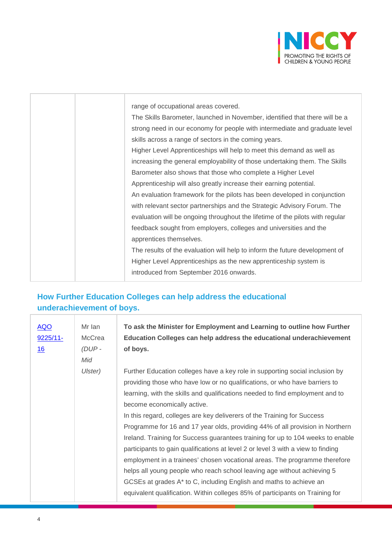

|  | range of occupational areas covered.                                          |
|--|-------------------------------------------------------------------------------|
|  | The Skills Barometer, launched in November, identified that there will be a   |
|  | strong need in our economy for people with intermediate and graduate level    |
|  | skills across a range of sectors in the coming years.                         |
|  | Higher Level Apprenticeships will help to meet this demand as well as         |
|  | increasing the general employability of those undertaking them. The Skills    |
|  | Barometer also shows that those who complete a Higher Level                   |
|  | Apprenticeship will also greatly increase their earning potential.            |
|  | An evaluation framework for the pilots has been developed in conjunction      |
|  | with relevant sector partnerships and the Strategic Advisory Forum. The       |
|  | evaluation will be ongoing throughout the lifetime of the pilots with regular |
|  | feedback sought from employers, colleges and universities and the             |
|  | apprentices themselves.                                                       |
|  | The results of the evaluation will help to inform the future development of   |
|  | Higher Level Apprenticeships as the new apprenticeship system is              |
|  | introduced from September 2016 onwards.                                       |
|  |                                                                               |

## **How Further Education Colleges can help address the educational underachievement of boys.**

| <b>AQO</b><br>$9225/11$ -<br>16 | Mr Ian<br>McCrea<br>$(DUP -$ | To ask the Minister for Employment and Learning to outline how Further<br>Education Colleges can help address the educational underachievement<br>of boys. |
|---------------------------------|------------------------------|------------------------------------------------------------------------------------------------------------------------------------------------------------|
|                                 | Mid                          |                                                                                                                                                            |
|                                 | Ulster)                      | Further Education colleges have a key role in supporting social inclusion by                                                                               |
|                                 |                              | providing those who have low or no qualifications, or who have barriers to                                                                                 |
|                                 |                              | learning, with the skills and qualifications needed to find employment and to                                                                              |
|                                 |                              | become economically active.                                                                                                                                |
|                                 |                              | In this regard, colleges are key deliverers of the Training for Success                                                                                    |
|                                 |                              | Programme for 16 and 17 year olds, providing 44% of all provision in Northern                                                                              |
|                                 |                              | Ireland. Training for Success guarantees training for up to 104 weeks to enable                                                                            |
|                                 |                              | participants to gain qualifications at level 2 or level 3 with a view to finding                                                                           |
|                                 |                              | employment in a trainees' chosen vocational areas. The programme therefore                                                                                 |
|                                 |                              | helps all young people who reach school leaving age without achieving 5                                                                                    |
|                                 |                              | GCSEs at grades A* to C, including English and maths to achieve an                                                                                         |
|                                 |                              | equivalent qualification. Within colleges 85% of participants on Training for                                                                              |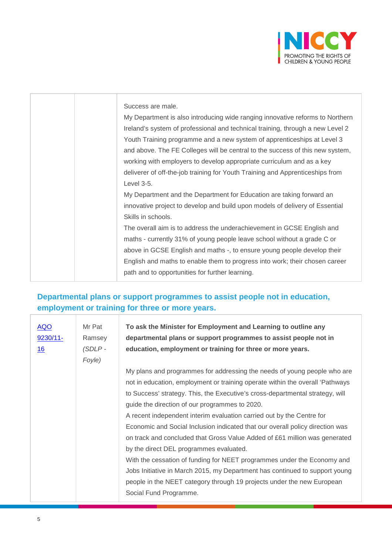

| Success are male.                                                              |
|--------------------------------------------------------------------------------|
| My Department is also introducing wide ranging innovative reforms to Northern  |
| Ireland's system of professional and technical training, through a new Level 2 |
| Youth Training programme and a new system of apprenticeships at Level 3        |
| and above. The FE Colleges will be central to the success of this new system,  |
| working with employers to develop appropriate curriculum and as a key          |
| deliverer of off-the-job training for Youth Training and Apprenticeships from  |
| Level 3-5.                                                                     |
| My Department and the Department for Education are taking forward an           |
| innovative project to develop and build upon models of delivery of Essential   |
| Skills in schools.                                                             |
| The overall aim is to address the underachievement in GCSE English and         |
| maths - currently 31% of young people leave school without a grade C or        |
| above in GCSE English and maths -, to ensure young people develop their        |
| English and maths to enable them to progress into work; their chosen career    |
| path and to opportunities for further learning.                                |
|                                                                                |

#### **Departmental plans or support programmes to assist people not in education, employment or training for three or more years.**

| <u>AQO</u><br>$9230/11$ -<br>16 | Mr Pat<br>Ramsey<br>$(SDLP -$<br>Foyle) | To ask the Minister for Employment and Learning to outline any<br>departmental plans or support programmes to assist people not in<br>education, employment or training for three or more years. |
|---------------------------------|-----------------------------------------|--------------------------------------------------------------------------------------------------------------------------------------------------------------------------------------------------|
|                                 |                                         | My plans and programmes for addressing the needs of young people who are                                                                                                                         |
|                                 |                                         | not in education, employment or training operate within the overall 'Pathways                                                                                                                    |
|                                 |                                         | to Success' strategy. This, the Executive's cross-departmental strategy, will                                                                                                                    |
|                                 |                                         | guide the direction of our programmes to 2020.                                                                                                                                                   |
|                                 |                                         | A recent independent interim evaluation carried out by the Centre for                                                                                                                            |
|                                 |                                         | Economic and Social Inclusion indicated that our overall policy direction was                                                                                                                    |
|                                 |                                         | on track and concluded that Gross Value Added of £61 million was generated                                                                                                                       |
|                                 |                                         | by the direct DEL programmes evaluated.                                                                                                                                                          |
|                                 |                                         | With the cessation of funding for NEET programmes under the Economy and                                                                                                                          |
|                                 |                                         | Jobs Initiative in March 2015, my Department has continued to support young                                                                                                                      |
|                                 |                                         | people in the NEET category through 19 projects under the new European                                                                                                                           |
|                                 |                                         | Social Fund Programme.                                                                                                                                                                           |

T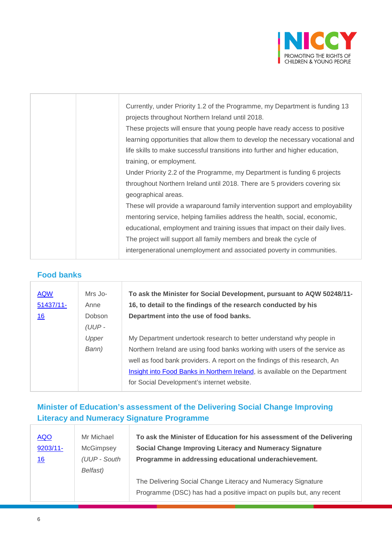

|  | Currently, under Priority 1.2 of the Programme, my Department is funding 13    |
|--|--------------------------------------------------------------------------------|
|  | projects throughout Northern Ireland until 2018.                               |
|  | These projects will ensure that young people have ready access to positive     |
|  | learning opportunities that allow them to develop the necessary vocational and |
|  | life skills to make successful transitions into further and higher education,  |
|  | training, or employment.                                                       |
|  | Under Priority 2.2 of the Programme, my Department is funding 6 projects       |
|  | throughout Northern Ireland until 2018. There are 5 providers covering six     |
|  | geographical areas.                                                            |
|  | These will provide a wraparound family intervention support and employability  |
|  | mentoring service, helping families address the health, social, economic,      |
|  | educational, employment and training issues that impact on their daily lives.  |
|  | The project will support all family members and break the cycle of             |
|  | intergenerational unemployment and associated poverty in communities.          |
|  |                                                                                |

#### **Food banks**

| <b>AQW</b><br>$51437/11$ -<br><u>16</u> | Mrs Jo-<br>Anne<br><b>Dobson</b><br>$(UUP -$ | To ask the Minister for Social Development, pursuant to AQW 50248/11-<br>16, to detail to the findings of the research conducted by his<br>Department into the use of food banks.                                                                                                                                                                            |
|-----------------------------------------|----------------------------------------------|--------------------------------------------------------------------------------------------------------------------------------------------------------------------------------------------------------------------------------------------------------------------------------------------------------------------------------------------------------------|
|                                         | Upper<br>Bann)                               | My Department undertook research to better understand why people in<br>Northern Ireland are using food banks working with users of the service as<br>well as food bank providers. A report on the findings of this research, An<br>Insight into Food Banks in Northern Ireland, is available on the Department<br>for Social Development's internet website. |

#### **Minister of Education's assessment of the Delivering Social Change Improving Literacy and Numeracy Signature Programme**

Τ

| <b>AQO</b> | Mr Michael   | To ask the Minister of Education for his assessment of the Delivering |
|------------|--------------|-----------------------------------------------------------------------|
| 9203/11-   | McGimpsey    | Social Change Improving Literacy and Numeracy Signature               |
| 16         | (UUP - South | Programme in addressing educational underachievement.                 |
|            | Belfast)     |                                                                       |
|            |              | The Delivering Social Change Literacy and Numeracy Signature          |
|            |              | Programme (DSC) has had a positive impact on pupils but, any recent   |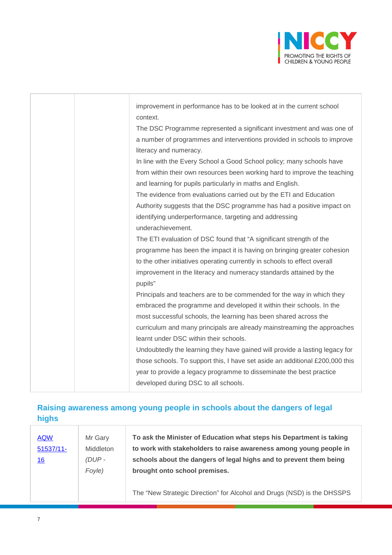

|  | improvement in performance has to be looked at in the current school         |
|--|------------------------------------------------------------------------------|
|  | context.                                                                     |
|  | The DSC Programme represented a significant investment and was one of        |
|  | a number of programmes and interventions provided in schools to improve      |
|  | literacy and numeracy.                                                       |
|  | In line with the Every School a Good School policy; many schools have        |
|  | from within their own resources been working hard to improve the teaching    |
|  | and learning for pupils particularly in maths and English.                   |
|  | The evidence from evaluations carried out by the ETI and Education           |
|  | Authority suggests that the DSC programme has had a positive impact on       |
|  | identifying underperformance, targeting and addressing                       |
|  | underachievement.                                                            |
|  | The ETI evaluation of DSC found that "A significant strength of the          |
|  | programme has been the impact it is having on bringing greater cohesion      |
|  | to the other initiatives operating currently in schools to effect overall    |
|  | improvement in the literacy and numeracy standards attained by the           |
|  | pupils"                                                                      |
|  | Principals and teachers are to be commended for the way in which they        |
|  | embraced the programme and developed it within their schools. In the         |
|  | most successful schools, the learning has been shared across the             |
|  | curriculum and many principals are already mainstreaming the approaches      |
|  | learnt under DSC within their schools.                                       |
|  | Undoubtedly the learning they have gained will provide a lasting legacy for  |
|  | those schools. To support this, I have set aside an additional £200,000 this |
|  | year to provide a legacy programme to disseminate the best practice          |
|  | developed during DSC to all schools.                                         |

#### **Raising awareness among young people in schools about the dangers of legal highs** Ţ Ţ

| <b>AQW</b>   | Mr Garv   | To ask the Minister of Education what steps his Department is taking |
|--------------|-----------|----------------------------------------------------------------------|
| $51537/11$ - | Middleton | to work with stakeholders to raise awareness among young people in   |
| <u>16</u>    | $(DUP -$  | schools about the dangers of legal highs and to prevent them being   |
|              | Foyle)    | brought onto school premises.                                        |
|              |           |                                                                      |

The "New Strategic Direction" for Alcohol and Drugs (NSD) is the DHSSPS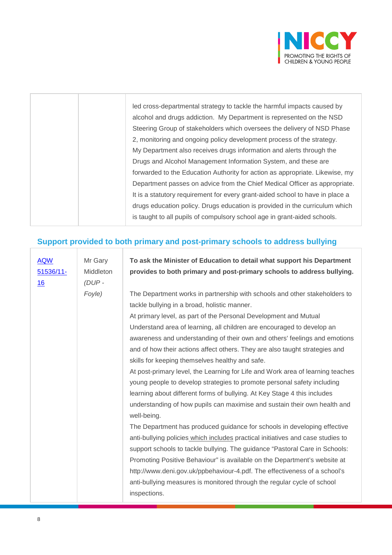

|  | led cross-departmental strategy to tackle the harmful impacts caused by       |
|--|-------------------------------------------------------------------------------|
|  | alcohol and drugs addiction. My Department is represented on the NSD          |
|  | Steering Group of stakeholders which oversees the delivery of NSD Phase       |
|  | 2, monitoring and ongoing policy development process of the strategy.         |
|  | My Department also receives drugs information and alerts through the          |
|  | Drugs and Alcohol Management Information System, and these are                |
|  | forwarded to the Education Authority for action as appropriate. Likewise, my  |
|  | Department passes on advice from the Chief Medical Officer as appropriate.    |
|  | It is a statutory requirement for every grant-aided school to have in place a |
|  | drugs education policy. Drugs education is provided in the curriculum which   |
|  | is taught to all pupils of compulsory school age in grant-aided schools.      |
|  |                                                                               |

#### **Support provided to both primary and post-primary schools to address bullying**

| <b>AQW</b> | Mr Gary   | To ask the Minister of Education to detail what support his Department          |
|------------|-----------|---------------------------------------------------------------------------------|
| 51536/11-  | Middleton | provides to both primary and post-primary schools to address bullying.          |
| 16         | (DUP-     |                                                                                 |
|            | Foyle)    | The Department works in partnership with schools and other stakeholders to      |
|            |           | tackle bullying in a broad, holistic manner.                                    |
|            |           | At primary level, as part of the Personal Development and Mutual                |
|            |           | Understand area of learning, all children are encouraged to develop an          |
|            |           | awareness and understanding of their own and others' feelings and emotions      |
|            |           | and of how their actions affect others. They are also taught strategies and     |
|            |           | skills for keeping themselves healthy and safe.                                 |
|            |           | At post-primary level, the Learning for Life and Work area of learning teaches  |
|            |           | young people to develop strategies to promote personal safety including         |
|            |           | learning about different forms of bullying. At Key Stage 4 this includes        |
|            |           | understanding of how pupils can maximise and sustain their own health and       |
|            |           | well-being.                                                                     |
|            |           | The Department has produced guidance for schools in developing effective        |
|            |           | anti-bullying policies which includes practical initiatives and case studies to |
|            |           | support schools to tackle bullying. The guidance "Pastoral Care in Schools:     |
|            |           | Promoting Positive Behaviour" is available on the Department's website at       |
|            |           | http://www.deni.gov.uk/ppbehaviour-4.pdf. The effectiveness of a school's       |
|            |           | anti-bullying measures is monitored through the regular cycle of school         |
|            |           | inspections.                                                                    |
|            |           |                                                                                 |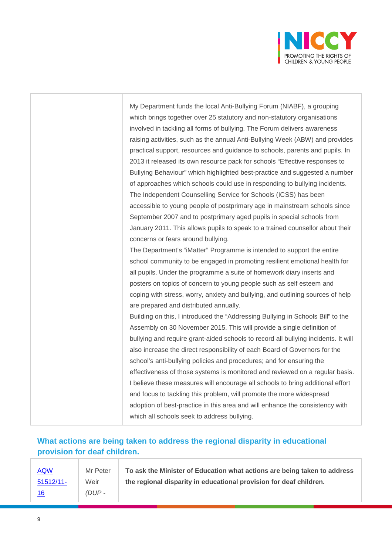

|  | My Department funds the local Anti-Bullying Forum (NIABF), a grouping              |
|--|------------------------------------------------------------------------------------|
|  | which brings together over 25 statutory and non-statutory organisations            |
|  | involved in tackling all forms of bullying. The Forum delivers awareness           |
|  | raising activities, such as the annual Anti-Bullying Week (ABW) and provides       |
|  | practical support, resources and guidance to schools, parents and pupils. In       |
|  | 2013 it released its own resource pack for schools "Effective responses to         |
|  | Bullying Behaviour" which highlighted best-practice and suggested a number         |
|  | of approaches which schools could use in responding to bullying incidents.         |
|  | The Independent Counselling Service for Schools (ICSS) has been                    |
|  | accessible to young people of postprimary age in mainstream schools since          |
|  | September 2007 and to postprimary aged pupils in special schools from              |
|  | January 2011. This allows pupils to speak to a trained counsellor about their      |
|  | concerns or fears around bullying.                                                 |
|  | The Department's "iMatter" Programme is intended to support the entire             |
|  | school community to be engaged in promoting resilient emotional health for         |
|  | all pupils. Under the programme a suite of homework diary inserts and              |
|  | posters on topics of concern to young people such as self esteem and               |
|  | coping with stress, worry, anxiety and bullying, and outlining sources of help     |
|  | are prepared and distributed annually.                                             |
|  | Building on this, I introduced the "Addressing Bullying in Schools Bill" to the    |
|  | Assembly on 30 November 2015. This will provide a single definition of             |
|  | bullying and require grant-aided schools to record all bullying incidents. It will |
|  | also increase the direct responsibility of each Board of Governors for the         |
|  | school's anti-bullying policies and procedures; and for ensuring the               |
|  | effectiveness of those systems is monitored and reviewed on a regular basis.       |
|  | I believe these measures will encourage all schools to bring additional effort     |
|  | and focus to tackling this problem, will promote the more widespread               |
|  | adoption of best-practice in this area and will enhance the consistency with       |
|  | which all schools seek to address bullying.                                        |

#### **What actions are being taken to address the regional disparity in educational provision for deaf children.**

| <b>AQW</b>   | Mr Peter | To ask the Minister of Education what actions are being taken to address |
|--------------|----------|--------------------------------------------------------------------------|
| $51512/11$ - | Weir     | the regional disparity in educational provision for deaf children.       |
| <u> 16</u>   | $(DUP -$ |                                                                          |

Τ

Τ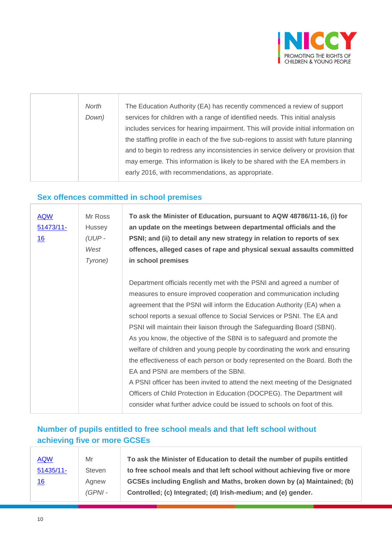

| North<br>Down) | The Education Authority (EA) has recently commenced a review of support<br>services for children with a range of identified needs. This initial analysis<br>includes services for hearing impairment. This will provide initial information on<br>the staffing profile in each of the five sub-regions to assist with future planning<br>and to begin to redress any inconsistencies in service delivery or provision that<br>may emerge. This information is likely to be shared with the EA members in |
|----------------|----------------------------------------------------------------------------------------------------------------------------------------------------------------------------------------------------------------------------------------------------------------------------------------------------------------------------------------------------------------------------------------------------------------------------------------------------------------------------------------------------------|
|                |                                                                                                                                                                                                                                                                                                                                                                                                                                                                                                          |
|                | early 2016, with recommendations, as appropriate.                                                                                                                                                                                                                                                                                                                                                                                                                                                        |

#### **Sex offences committed in school premises**

| <b>AQW</b><br>$51473/11$ -<br><u>16</u> | Mr Ross<br><b>Hussey</b><br>(UUP-<br>West<br>Tyrone) | To ask the Minister of Education, pursuant to AQW 48786/11-16, (i) for<br>an update on the meetings between departmental officials and the<br>PSNI; and (ii) to detail any new strategy in relation to reports of sex<br>offences, alleged cases of rape and physical sexual assaults committed<br>in school premises                                                                                                                                                                                                                                                                                                                                                                                                                                                                                                                                                                               |
|-----------------------------------------|------------------------------------------------------|-----------------------------------------------------------------------------------------------------------------------------------------------------------------------------------------------------------------------------------------------------------------------------------------------------------------------------------------------------------------------------------------------------------------------------------------------------------------------------------------------------------------------------------------------------------------------------------------------------------------------------------------------------------------------------------------------------------------------------------------------------------------------------------------------------------------------------------------------------------------------------------------------------|
|                                         |                                                      | Department officials recently met with the PSNI and agreed a number of<br>measures to ensure improved cooperation and communication including<br>agreement that the PSNI will inform the Education Authority (EA) when a<br>school reports a sexual offence to Social Services or PSNI. The EA and<br>PSNI will maintain their liaison through the Safeguarding Board (SBNI).<br>As you know, the objective of the SBNI is to safeguard and promote the<br>welfare of children and young people by coordinating the work and ensuring<br>the effectiveness of each person or body represented on the Board. Both the<br>EA and PSNI are members of the SBNI.<br>A PSNI officer has been invited to attend the next meeting of the Designated<br>Officers of Child Protection in Education (DOCPEG). The Department will<br>consider what further advice could be issued to schools on foot of this. |

#### **Number of pupils entitled to free school meals and that left school without achieving five or more GCSEs**

| <b>AQW</b>   | Mr        | To ask the Minister of Education to detail the number of pupils entitled |
|--------------|-----------|--------------------------------------------------------------------------|
| $51435/11$ - | Steven    | to free school meals and that left school without achieving five or more |
| 16           | Agnew     | GCSEs including English and Maths, broken down by (a) Maintained; (b)    |
|              | $(GPNI -$ | Controlled; (c) Integrated; (d) Irish-medium; and (e) gender.            |
|              |           |                                                                          |

÷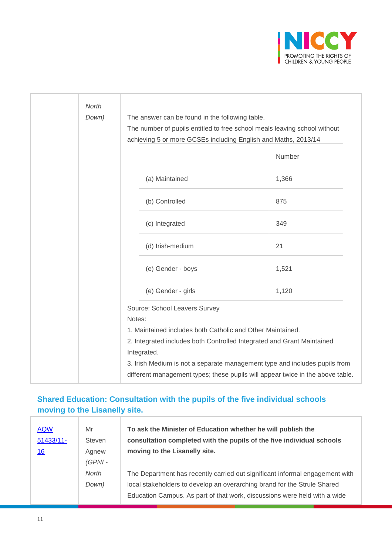

| North |                                                                                |        |
|-------|--------------------------------------------------------------------------------|--------|
| Down) | The answer can be found in the following table.                                |        |
|       | The number of pupils entitled to free school meals leaving school without      |        |
|       | achieving 5 or more GCSEs including English and Maths, 2013/14                 |        |
|       |                                                                                | Number |
|       | (a) Maintained                                                                 | 1,366  |
|       | (b) Controlled                                                                 | 875    |
|       | (c) Integrated                                                                 | 349    |
|       | (d) Irish-medium                                                               | 21     |
|       | (e) Gender - boys                                                              | 1,521  |
|       | (e) Gender - girls                                                             | 1,120  |
|       | Source: School Leavers Survey                                                  |        |
|       | Notes:                                                                         |        |
|       | 1. Maintained includes both Catholic and Other Maintained.                     |        |
|       | 2. Integrated includes both Controlled Integrated and Grant Maintained         |        |
|       | Integrated.                                                                    |        |
|       | 3. Irish Medium is not a separate management type and includes pupils from     |        |
|       | different management types; these pupils will appear twice in the above table. |        |

#### **Shared Education: Consultation with the pupils of the five individual schools moving to the Lisanelly site.**

| <b>AQW</b>  | Mr        | To ask the Minister of Education whether he will publish the                 |
|-------------|-----------|------------------------------------------------------------------------------|
| $51433/11-$ | Steven    | consultation completed with the pupils of the five individual schools        |
| <u>16</u>   | Agnew     | moving to the Lisanelly site.                                                |
|             | $(GPNI -$ |                                                                              |
|             | North     | The Department has recently carried out significant informal engagement with |
|             | Down)     | local stakeholders to develop an overarching brand for the Strule Shared     |
|             |           | Education Campus. As part of that work, discussions were held with a wide    |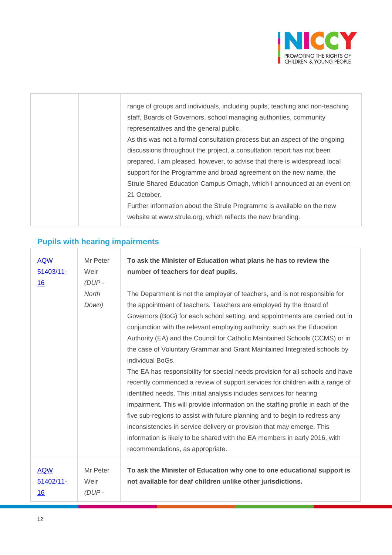

|  | range of groups and individuals, including pupils, teaching and non-teaching |
|--|------------------------------------------------------------------------------|
|  | staff, Boards of Governors, school managing authorities, community           |
|  | representatives and the general public.                                      |
|  | As this was not a formal consultation process but an aspect of the ongoing   |
|  | discussions throughout the project, a consultation report has not been       |
|  | prepared. I am pleased, however, to advise that there is widespread local    |
|  | support for the Programme and broad agreement on the new name, the           |
|  | Strule Shared Education Campus Omagh, which I announced at an event on       |
|  | 21 October.                                                                  |
|  | Further information about the Strule Programme is available on the new       |
|  | website at www.strule.org, which reflects the new branding.                  |

# **Pupils with hearing impairments**

| <b>AQW</b><br>$51403/11 -$<br>16 | Mr Peter<br>Weir<br>(DUP-<br>North | To ask the Minister of Education what plans he has to review the<br>number of teachers for deaf pupils.<br>The Department is not the employer of teachers, and is not responsible for                                                                                                                                                                                                                                                                                                                                                                                                                                                                                                                                                                                                                                                                                                                                                                                                                                   |
|----------------------------------|------------------------------------|-------------------------------------------------------------------------------------------------------------------------------------------------------------------------------------------------------------------------------------------------------------------------------------------------------------------------------------------------------------------------------------------------------------------------------------------------------------------------------------------------------------------------------------------------------------------------------------------------------------------------------------------------------------------------------------------------------------------------------------------------------------------------------------------------------------------------------------------------------------------------------------------------------------------------------------------------------------------------------------------------------------------------|
|                                  | Down)                              | the appointment of teachers. Teachers are employed by the Board of<br>Governors (BoG) for each school setting, and appointments are carried out in<br>conjunction with the relevant employing authority; such as the Education<br>Authority (EA) and the Council for Catholic Maintained Schools (CCMS) or in<br>the case of Voluntary Grammar and Grant Maintained Integrated schools by<br>individual BoGs.<br>The EA has responsibility for special needs provision for all schools and have<br>recently commenced a review of support services for children with a range of<br>identified needs. This initial analysis includes services for hearing<br>impairment. This will provide information on the staffing profile in each of the<br>five sub-regions to assist with future planning and to begin to redress any<br>inconsistencies in service delivery or provision that may emerge. This<br>information is likely to be shared with the EA members in early 2016, with<br>recommendations, as appropriate. |
| <b>AQW</b><br>51402/11-<br>16    | Mr Peter<br>Weir<br>(DUP-          | To ask the Minister of Education why one to one educational support is<br>not available for deaf children unlike other jurisdictions.                                                                                                                                                                                                                                                                                                                                                                                                                                                                                                                                                                                                                                                                                                                                                                                                                                                                                   |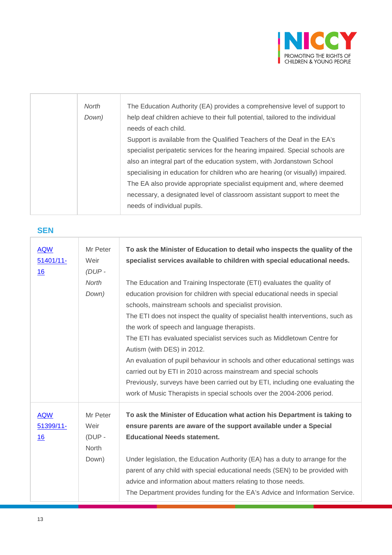

| North | The Education Authority (EA) provides a comprehensive level of support to      |
|-------|--------------------------------------------------------------------------------|
| Down) | help deaf children achieve to their full potential, tailored to the individual |
|       | needs of each child.                                                           |
|       | Support is available from the Qualified Teachers of the Deaf in the EA's       |
|       | specialist peripatetic services for the hearing impaired. Special schools are  |
|       | also an integral part of the education system, with Jordanstown School         |
|       | specialising in education for children who are hearing (or visually) impaired. |
|       | The EA also provide appropriate specialist equipment and, where deemed         |
|       | necessary, a designated level of classroom assistant support to meet the       |
|       | needs of individual pupils.                                                    |
|       |                                                                                |

#### **SEN**

| <b>AQW</b><br>$51401/11$ -<br>16 | Mr Peter<br>Weir<br>$(DUP -$<br><b>North</b><br>Down) | To ask the Minister of Education to detail who inspects the quality of the<br>specialist services available to children with special educational needs.<br>The Education and Training Inspectorate (ETI) evaluates the quality of<br>education provision for children with special educational needs in special<br>schools, mainstream schools and specialist provision.<br>The ETI does not inspect the quality of specialist health interventions, such as<br>the work of speech and language therapists.<br>The ETI has evaluated specialist services such as Middletown Centre for<br>Autism (with DES) in 2012.<br>An evaluation of pupil behaviour in schools and other educational settings was<br>carried out by ETI in 2010 across mainstream and special schools<br>Previously, surveys have been carried out by ETI, including one evaluating the<br>work of Music Therapists in special schools over the 2004-2006 period. |
|----------------------------------|-------------------------------------------------------|----------------------------------------------------------------------------------------------------------------------------------------------------------------------------------------------------------------------------------------------------------------------------------------------------------------------------------------------------------------------------------------------------------------------------------------------------------------------------------------------------------------------------------------------------------------------------------------------------------------------------------------------------------------------------------------------------------------------------------------------------------------------------------------------------------------------------------------------------------------------------------------------------------------------------------------|
| <b>AQW</b><br>51399/11-<br>16    | Mr Peter<br>Weir<br>$(DUP -$<br>North<br>Down)        | To ask the Minister of Education what action his Department is taking to<br>ensure parents are aware of the support available under a Special<br><b>Educational Needs statement.</b><br>Under legislation, the Education Authority (EA) has a duty to arrange for the<br>parent of any child with special educational needs (SEN) to be provided with<br>advice and information about matters relating to those needs.<br>The Department provides funding for the EA's Advice and Information Service.                                                                                                                                                                                                                                                                                                                                                                                                                                 |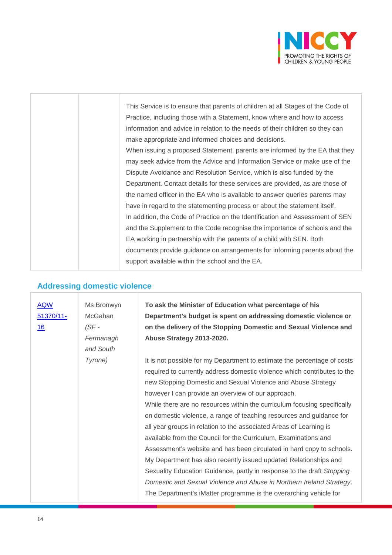

|  | This Service is to ensure that parents of children at all Stages of the Code of |
|--|---------------------------------------------------------------------------------|
|  | Practice, including those with a Statement, know where and how to access        |
|  | information and advice in relation to the needs of their children so they can   |
|  | make appropriate and informed choices and decisions.                            |
|  | When issuing a proposed Statement, parents are informed by the EA that they     |
|  | may seek advice from the Advice and Information Service or make use of the      |
|  | Dispute Avoidance and Resolution Service, which is also funded by the           |
|  | Department. Contact details for these services are provided, as are those of    |
|  | the named officer in the EA who is available to answer queries parents may      |
|  | have in regard to the statementing process or about the statement itself.       |
|  | In addition, the Code of Practice on the Identification and Assessment of SEN   |
|  | and the Supplement to the Code recognise the importance of schools and the      |
|  | EA working in partnership with the parents of a child with SEN. Both            |
|  | documents provide guidance on arrangements for informing parents about the      |
|  | support available within the school and the EA.                                 |
|  |                                                                                 |

### **Addressing domestic violence**

| <b>AQW</b><br>51370/11-<br>16 | Ms Bronwyn<br>McGahan<br>$(SF -$<br>Fermanagh<br>and South | To ask the Minister of Education what percentage of his<br>Department's budget is spent on addressing domestic violence or<br>on the delivery of the Stopping Domestic and Sexual Violence and<br>Abuse Strategy 2013-2020.                                                                                                                                                                                                                                                                                                                                                                                                                                                                                                                                                                                                                                                                                                                 |
|-------------------------------|------------------------------------------------------------|---------------------------------------------------------------------------------------------------------------------------------------------------------------------------------------------------------------------------------------------------------------------------------------------------------------------------------------------------------------------------------------------------------------------------------------------------------------------------------------------------------------------------------------------------------------------------------------------------------------------------------------------------------------------------------------------------------------------------------------------------------------------------------------------------------------------------------------------------------------------------------------------------------------------------------------------|
|                               | Tyrone)                                                    | It is not possible for my Department to estimate the percentage of costs<br>required to currently address domestic violence which contributes to the<br>new Stopping Domestic and Sexual Violence and Abuse Strategy<br>however I can provide an overview of our approach.<br>While there are no resources within the curriculum focusing specifically<br>on domestic violence, a range of teaching resources and guidance for<br>all year groups in relation to the associated Areas of Learning is<br>available from the Council for the Curriculum, Examinations and<br>Assessment's website and has been circulated in hard copy to schools.<br>My Department has also recently issued updated Relationships and<br>Sexuality Education Guidance, partly in response to the draft Stopping<br>Domestic and Sexual Violence and Abuse in Northern Ireland Strategy.<br>The Department's iMatter programme is the overarching vehicle for |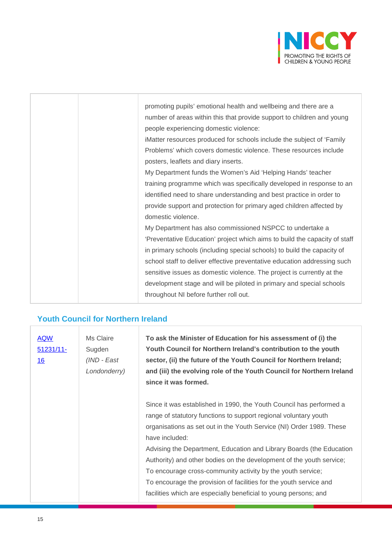

|  | promoting pupils' emotional health and wellbeing and there are a           |
|--|----------------------------------------------------------------------------|
|  | number of areas within this that provide support to children and young     |
|  | people experiencing domestic violence:                                     |
|  | iMatter resources produced for schools include the subject of 'Family      |
|  | Problems' which covers domestic violence. These resources include          |
|  | posters, leaflets and diary inserts.                                       |
|  | My Department funds the Women's Aid 'Helping Hands' teacher                |
|  | training programme which was specifically developed in response to an      |
|  | identified need to share understanding and best practice in order to       |
|  | provide support and protection for primary aged children affected by       |
|  | domestic violence.                                                         |
|  | My Department has also commissioned NSPCC to undertake a                   |
|  | 'Preventative Education' project which aims to build the capacity of staff |
|  | in primary schools (including special schools) to build the capacity of    |
|  | school staff to deliver effective preventative education addressing such   |
|  | sensitive issues as domestic violence. The project is currently at the     |
|  | development stage and will be piloted in primary and special schools       |
|  | throughout NI before further roll out.                                     |

# **Youth Council for Northern Ireland**

| <b>AQW</b><br>$51231/11-$<br><u>16</u> | Ms Claire<br>Sugden<br>(IND - East<br>Londonderry) | To ask the Minister of Education for his assessment of (i) the<br>Youth Council for Northern Ireland's contribution to the youth<br>sector, (ii) the future of the Youth Council for Northern Ireland;<br>and (iii) the evolving role of the Youth Council for Northern Ireland<br>since it was formed.                                                                                                                                                                                                                                                                                    |
|----------------------------------------|----------------------------------------------------|--------------------------------------------------------------------------------------------------------------------------------------------------------------------------------------------------------------------------------------------------------------------------------------------------------------------------------------------------------------------------------------------------------------------------------------------------------------------------------------------------------------------------------------------------------------------------------------------|
|                                        |                                                    | Since it was established in 1990, the Youth Council has performed a<br>range of statutory functions to support regional voluntary youth<br>organisations as set out in the Youth Service (NI) Order 1989. These<br>have included:<br>Advising the Department, Education and Library Boards (the Education<br>Authority) and other bodies on the development of the youth service;<br>To encourage cross-community activity by the youth service;<br>To encourage the provision of facilities for the youth service and<br>facilities which are especially beneficial to young persons; and |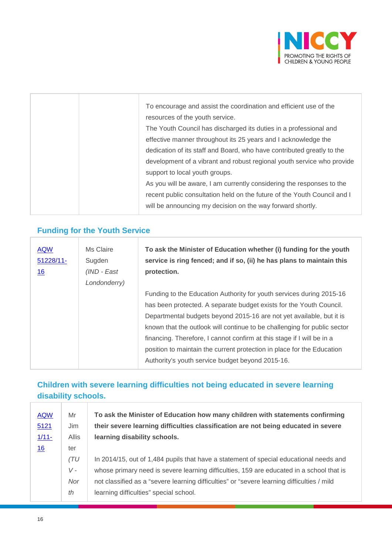

|  | To encourage and assist the coordination and efficient use of the<br>resources of the youth service.<br>The Youth Council has discharged its duties in a professional and<br>effective manner throughout its 25 years and I acknowledge the<br>dedication of its staff and Board, who have contributed greatly to the<br>development of a vibrant and robust regional youth service who provide<br>support to local youth groups.<br>As you will be aware, I am currently considering the responses to the<br>recent public consultation held on the future of the Youth Council and I |
|--|----------------------------------------------------------------------------------------------------------------------------------------------------------------------------------------------------------------------------------------------------------------------------------------------------------------------------------------------------------------------------------------------------------------------------------------------------------------------------------------------------------------------------------------------------------------------------------------|
|  | will be announcing my decision on the way forward shortly.                                                                                                                                                                                                                                                                                                                                                                                                                                                                                                                             |
|  |                                                                                                                                                                                                                                                                                                                                                                                                                                                                                                                                                                                        |

### **Funding for the Youth Service**

÷

| <b>AQW</b><br>51228/11-<br>16 | Ms Claire<br>Sugden<br>(IND - East<br>Londonderry) | To ask the Minister of Education whether (i) funding for the youth<br>service is ring fenced; and if so, (ii) he has plans to maintain this<br>protection.                                                                                                                                                                                                                                                                                                                                              |
|-------------------------------|----------------------------------------------------|---------------------------------------------------------------------------------------------------------------------------------------------------------------------------------------------------------------------------------------------------------------------------------------------------------------------------------------------------------------------------------------------------------------------------------------------------------------------------------------------------------|
|                               |                                                    | Funding to the Education Authority for youth services during 2015-16<br>has been protected. A separate budget exists for the Youth Council.<br>Departmental budgets beyond 2015-16 are not yet available, but it is<br>known that the outlook will continue to be challenging for public sector<br>financing. Therefore, I cannot confirm at this stage if I will be in a<br>position to maintain the current protection in place for the Education<br>Authority's youth service budget beyond 2015-16. |

#### **Children with severe learning difficulties not being educated in severe learning disability schools.**

| <b>AQW</b> | Mr    | To ask the Minister of Education how many children with statements confirming              |
|------------|-------|--------------------------------------------------------------------------------------------|
| 5121       | Jim   | their severe learning difficulties classification are not being educated in severe         |
| $1/11-$    | Allis | learning disability schools.                                                               |
| 16         | ter   |                                                                                            |
|            | (TU)  | In 2014/15, out of 1,484 pupils that have a statement of special educational needs and     |
|            | V -   | whose primary need is severe learning difficulties, 159 are educated in a school that is   |
|            | Nor   | not classified as a "severe learning difficulties" or "severe learning difficulties / mild |
|            | th    | learning difficulties" special school.                                                     |
|            |       |                                                                                            |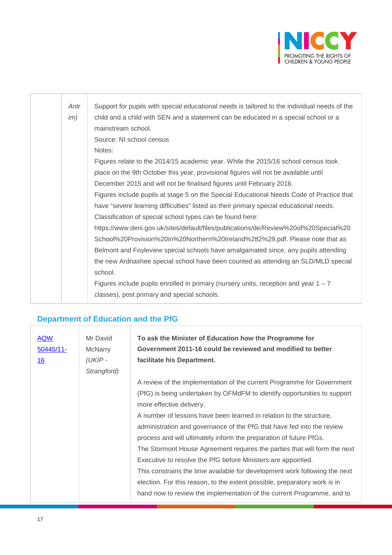

| Antr | Support for pupils with special educational needs is tailored to the individual needs of the |
|------|----------------------------------------------------------------------------------------------|
| im)  | child and a child with SEN and a statement can be educated in a special school or a          |
|      | mainstream school.                                                                           |
|      | Source: NI school census                                                                     |
|      | Notes:                                                                                       |
|      | Figures relate to the 2014/15 academic year. While the 2015/16 school census took            |
|      | place on the 9th October this year, provisional figures will not be available until          |
|      | December 2015 and will not be finalised figures until February 2016.                         |
|      | Figures include pupils at stage 5 on the Special Educational Needs Code of Practice that     |
|      | have "severe learning difficulties" listed as their primary special educational needs.       |
|      | Classification of special school types can be found here:                                    |
|      | https://www.deni.gov.uk/sites/default/files/publications/de/Review%20of%20Special%20         |
|      | School%20Provision%20in%20Northern%20Ireland%282%29.pdf. Please note that as                 |
|      | Belmont and Foyleview special schools have amalgamated since, any pupils attending           |
|      | the new Ardnashee special school have been counted as attending an SLD/MLD special           |
|      | school.                                                                                      |
|      | Figures include pupils enrolled in primary (nursery units, reception and year $1 - 7$        |
|      | classes), post primary and special schools.                                                  |
|      |                                                                                              |

# **Department of Education and the PfG**

| <b>AQW</b><br>$50445/11$ -<br><u>16</u> | Mr David<br><b>McNarry</b><br>(UKIP - | To ask the Minister of Education how the Programme for<br>Government 2011-16 could be reviewed and modified to better<br>facilitate his Department. |
|-----------------------------------------|---------------------------------------|-----------------------------------------------------------------------------------------------------------------------------------------------------|
|                                         | Strangford)                           |                                                                                                                                                     |
|                                         |                                       | A review of the implementation of the current Programme for Government                                                                              |
|                                         |                                       | (PfG) is being undertaken by OFMdFM to identify opportunities to support                                                                            |
|                                         |                                       | more effective delivery.                                                                                                                            |
|                                         |                                       | A number of lessons have been learned in relation to the structure,                                                                                 |
|                                         |                                       | administration and governance of the PfG that have fed into the review                                                                              |
|                                         |                                       | process and will ultimately inform the preparation of future PfGs.                                                                                  |
|                                         |                                       | The Stormont House Agreement requires the parties that will form the next                                                                           |
|                                         |                                       | Executive to resolve the PfG before Ministers are appointed.                                                                                        |
|                                         |                                       | This constrains the time available for development work following the next                                                                          |
|                                         |                                       | election. For this reason, to the extent possible, preparatory work is in                                                                           |
|                                         |                                       | hand now to review the implementation of the current Programme, and to                                                                              |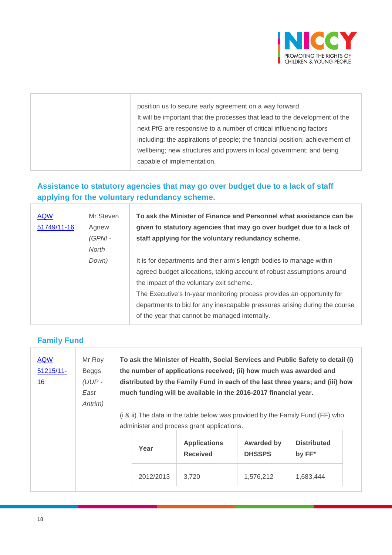

|  | position us to secure early agreement on a way forward.                      |
|--|------------------------------------------------------------------------------|
|  | It will be important that the processes that lead to the development of the  |
|  | next PfG are responsive to a number of critical influencing factors          |
|  | including: the aspirations of people; the financial position; achievement of |
|  | wellbeing; new structures and powers in local government; and being          |
|  | capable of implementation.                                                   |
|  |                                                                              |

#### **Assistance to statutory agencies that may go over budget due to a lack of staff applying for the voluntary redundancy scheme.**

| Mr Steven | To ask the Minister of Finance and Personnel what assistance can be        |
|-----------|----------------------------------------------------------------------------|
| Agnew     | given to statutory agencies that may go over budget due to a lack of       |
| $(GPNI -$ | staff applying for the voluntary redundancy scheme.                        |
| North     |                                                                            |
| Down)     | It is for departments and their arm's length bodies to manage within       |
|           | agreed budget allocations, taking account of robust assumptions around     |
|           | the impact of the voluntary exit scheme.                                   |
|           | The Executive's In-year monitoring process provides an opportunity for     |
|           | departments to bid for any inescapable pressures arising during the course |
|           | of the year that cannot be managed internally.                             |
|           |                                                                            |

#### **Family Fund**

| <b>AQW</b><br>$51215/11$ -<br><u>16</u> | Mr Roy<br>Beggs<br>$(UUP -$<br>East<br>Antrim) |           | To ask the Minister of Health, Social Services and Public Safety to detail (i)<br>the number of applications received; (ii) how much was awarded and<br>distributed by the Family Fund in each of the last three years; and (iii) how<br>much funding will be available in the 2016-2017 financial year. |                                    |                              |
|-----------------------------------------|------------------------------------------------|-----------|----------------------------------------------------------------------------------------------------------------------------------------------------------------------------------------------------------------------------------------------------------------------------------------------------------|------------------------------------|------------------------------|
|                                         |                                                |           | (i & ii) The data in the table below was provided by the Family Fund (FF) who                                                                                                                                                                                                                            |                                    |                              |
|                                         |                                                |           | administer and process grant applications.                                                                                                                                                                                                                                                               |                                    |                              |
|                                         |                                                | Year      | <b>Applications</b><br><b>Received</b>                                                                                                                                                                                                                                                                   | <b>Awarded by</b><br><b>DHSSPS</b> | <b>Distributed</b><br>by FF* |
|                                         |                                                | 2012/2013 | 3,720                                                                                                                                                                                                                                                                                                    | 1,576,212                          | 1,683,444                    |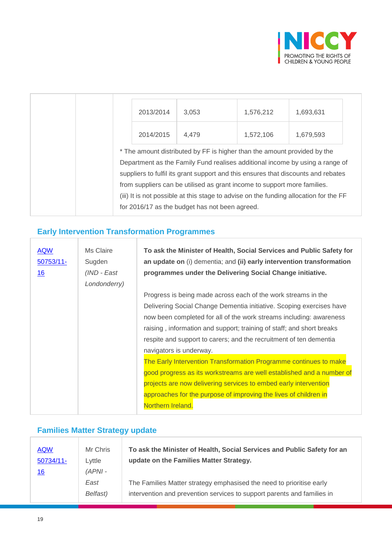

| 2013/2014 | 3,053                                                                                                                                                                                                                                                                                                                                                                                                                                                                | 1,576,212 | 1,693,631 |
|-----------|----------------------------------------------------------------------------------------------------------------------------------------------------------------------------------------------------------------------------------------------------------------------------------------------------------------------------------------------------------------------------------------------------------------------------------------------------------------------|-----------|-----------|
| 2014/2015 | 4,479                                                                                                                                                                                                                                                                                                                                                                                                                                                                | 1,572,106 | 1,679,593 |
|           | * The amount distributed by FF is higher than the amount provided by the<br>Department as the Family Fund realises additional income by using a range of<br>suppliers to fulfil its grant support and this ensures that discounts and rebates<br>from suppliers can be utilised as grant income to support more families.<br>(iii) It is not possible at this stage to advise on the funding allocation for the FF<br>for 2016/17 as the budget has not been agreed. |           |           |

### **Early Intervention Transformation Programmes**

| <b>AQW</b><br>50753/11-<br><u>16</u> | Ms Claire<br>Sugden<br>(IND - East<br>Londonderry) | To ask the Minister of Health, Social Services and Public Safety for<br>an update on (i) dementia; and (ii) early intervention transformation<br>programmes under the Delivering Social Change initiative. |
|--------------------------------------|----------------------------------------------------|------------------------------------------------------------------------------------------------------------------------------------------------------------------------------------------------------------|
|                                      |                                                    | Progress is being made across each of the work streams in the                                                                                                                                              |
|                                      |                                                    | Delivering Social Change Dementia initiative. Scoping exercises have                                                                                                                                       |
|                                      |                                                    | now been completed for all of the work streams including: awareness                                                                                                                                        |
|                                      |                                                    | raising, information and support; training of staff; and short breaks                                                                                                                                      |
|                                      |                                                    | respite and support to carers; and the recruitment of ten dementia                                                                                                                                         |
|                                      |                                                    | navigators is underway.                                                                                                                                                                                    |
|                                      |                                                    | The Early Intervention Transformation Programme continues to make                                                                                                                                          |
|                                      |                                                    | good progress as its workstreams are well established and a number of                                                                                                                                      |
|                                      |                                                    | projects are now delivering services to embed early intervention                                                                                                                                           |
|                                      |                                                    | approaches for the purpose of improving the lives of children in                                                                                                                                           |
|                                      |                                                    | Northern Ireland.                                                                                                                                                                                          |

### **Families Matter Strategy update**

| <b>AQW</b> | Mr Chris  | To ask the Minister of Health, Social Services and Public Safety for an |
|------------|-----------|-------------------------------------------------------------------------|
| 50734/11-  | Lyttle    | update on the Families Matter Strategy.                                 |
| <u>16</u>  | $(APNI -$ |                                                                         |
|            | East      | The Families Matter strategy emphasised the need to prioritise early    |
|            | Belfast)  | intervention and prevention services to support parents and families in |

r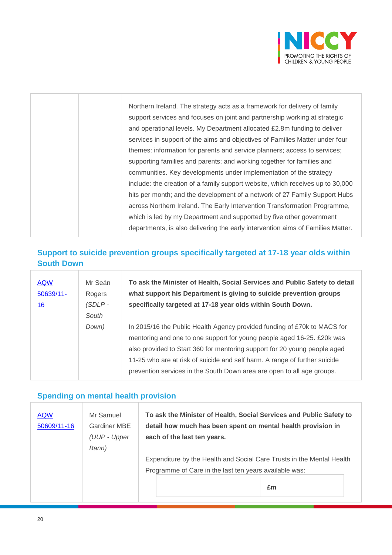

| Northern Ireland. The strategy acts as a framework for delivery of family       |
|---------------------------------------------------------------------------------|
| support services and focuses on joint and partnership working at strategic      |
| and operational levels. My Department allocated £2.8m funding to deliver        |
| services in support of the aims and objectives of Families Matter under four    |
| themes: information for parents and service planners; access to services;       |
| supporting families and parents; and working together for families and          |
| communities. Key developments under implementation of the strategy              |
| include: the creation of a family support website, which receives up to 30,000  |
| hits per month; and the development of a network of 27 Family Support Hubs      |
| across Northern Ireland. The Early Intervention Transformation Programme,       |
| which is led by my Department and supported by five other government            |
| departments, is also delivering the early intervention aims of Families Matter. |

#### **Support to suicide prevention groups specifically targeted at 17-18 year olds within South Down**

| <b>AQW</b><br>50639/11-<br>16 | Mr Seán<br>Rogers<br>(SDLP-<br>South | To ask the Minister of Health, Social Services and Public Safety to detail<br>what support his Department is giving to suicide prevention groups<br>specifically targeted at 17-18 year olds within South Down.                                                                                                                                                                         |
|-------------------------------|--------------------------------------|-----------------------------------------------------------------------------------------------------------------------------------------------------------------------------------------------------------------------------------------------------------------------------------------------------------------------------------------------------------------------------------------|
|                               | Down)                                | In 2015/16 the Public Health Agency provided funding of £70k to MACS for<br>mentoring and one to one support for young people aged 16-25. £20k was<br>also provided to Start 360 for mentoring support for 20 young people aged<br>11-25 who are at risk of suicide and self harm. A range of further suicide<br>prevention services in the South Down area are open to all age groups. |

#### **Spending on mental health provision**

| <b>AQW</b>  | Mr Samuel    | To ask the Minister of Health, Social Services and Public Safety to   |
|-------------|--------------|-----------------------------------------------------------------------|
| 50609/11-16 | Gardiner MBE | detail how much has been spent on mental health provision in          |
|             | (UUP - Upper | each of the last ten years.                                           |
|             | Bann)        |                                                                       |
|             |              | Expenditure by the Health and Social Care Trusts in the Mental Health |
|             |              | Programme of Care in the last ten years available was:                |
|             |              | £m                                                                    |